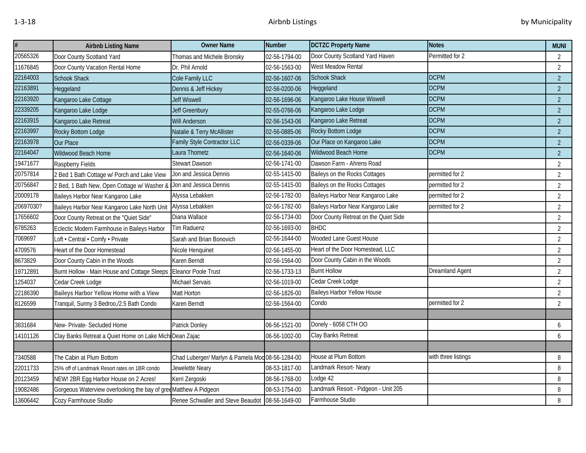| #         | <b>Airbnb Listing Name</b>                               | <b>Owner Name</b>                                | <b>Number</b> | <b>DCTZC Property Name</b>            | <b>Notes</b>           | <b>MUNI</b>    |
|-----------|----------------------------------------------------------|--------------------------------------------------|---------------|---------------------------------------|------------------------|----------------|
| 20565326  | Door County Scotland Yard                                | Thomas and Michele Bronsky                       | 02-56-1794-00 | Door County Scotland Yard Haven       | Permitted for 2        | $\overline{2}$ |
| 11676845  | Door County Vacation Rental Home                         | Dr. Phil Arnold                                  | 02-56-1563-00 | West Meadow Rental                    |                        | $\overline{2}$ |
| 22164003  | <b>Schook Shack</b>                                      | Cole Family LLC                                  | 02-56-1607-06 | <b>Schook Shack</b>                   | <b>DCPM</b>            | $\overline{2}$ |
| 22163891  | Heggeland                                                | Dennis & Jeff Hickey                             | 02-56-0200-06 | Heggeland                             | <b>DCPM</b>            | $\overline{2}$ |
| 22163920  | Kangaroo Lake Cottage                                    | Jeff Wiswell                                     | 02-56-1696-06 | Kangaroo Lake House Wiswell           | <b>DCPM</b>            | $\overline{2}$ |
| 22339205  | Kangaroo Lake Lodge                                      | Jeff Greenbury                                   | 02-55-0766-06 | Kangaroo Lake Lodge                   | <b>DCPM</b>            | $\overline{2}$ |
| 22163915  | Kangaroo Lake Retreat                                    | <b>Will Anderson</b>                             | 02-56-1543-06 | Kangaroo Lake Retreat                 | <b>DCPM</b>            | $\overline{2}$ |
| 22163997  | Rocky Bottom Lodge                                       | Natalie & Terry McAllister                       | 02-56-0885-06 | Rocky Bottom Lodge                    | <b>DCPM</b>            | $\overline{2}$ |
| 22163978  | <b>Our Place</b>                                         | Family Style Contractor LLC                      | 02-56-0339-06 | Our Place on Kangaroo Lake            | <b>DCPM</b>            | $\overline{2}$ |
| 22164047  | Wildwood Beach Home                                      | Laura Thometz                                    | 02-56-1640-06 | Wildwood Beach Home                   | <b>DCPM</b>            | $\overline{2}$ |
| 19471677  | Raspberry Fields                                         | <b>Stewart Dawson</b>                            | 02-56-1741-00 | Dawson Farm - Ahrens Road             |                        | $\overline{2}$ |
| 20757814  | 2 Bed 1 Bath Cottage w/ Porch and Lake View              | Jon and Jessica Dennis                           | 02-55-1415-00 | Baileys on the Rocks Cottages         | permitted for 2        | $\overline{2}$ |
| 20756847  | 2 Bed, 1 Bath New, Open Cottage w/ Washer 8              | Jon and Jessica Dennis                           | 02-55-1415-00 | Baileys on the Rocks Cottages         | permitted for 2        | $\overline{2}$ |
| 20009178  | Baileys Harbor Near Kangaroo Lake                        | Alyssa Lebakken                                  | 02-56-1782-00 | Baileys Harbor Near Kangaroo Lake     | permitted for 2        | $\overline{2}$ |
| 20697030? | Baileys Harbor Near Kangaroo Lake North Unit             | Alyssa Lebakken                                  | 02-56-1782-00 | Baileys Harbor Near Kangaroo Lake     | permitted for 2        | $\overline{2}$ |
| 17656602  | Door County Retreat on the "Quiet Side"                  | Diana Wallace                                    | 02-56-1734-00 | Door County Retreat on the Quiet Side |                        | $\overline{2}$ |
| 6785263   | Eclectic Modern Farmhouse in Baileys Harbor              | <b>Tim Raduenz</b>                               | 02-56-1693-00 | <b>BHDC</b>                           |                        | $\overline{2}$ |
| 7069697   | Loft · Central · Comfy · Private                         | Sarah and Brian Bonovich                         | 02-56-1644-00 | Wooded Lane Guest House               |                        | $\overline{2}$ |
| 4709576   | Heart of the Door Homestead                              | Nicole Henquinet                                 | 02-56-1455-00 | Heart of the Door Homestead, LLC      |                        | $\overline{2}$ |
| 8673829   | Door County Cabin in the Woods                           | Karen Berndt                                     | 02-56-1564-00 | Door County Cabin in the Woods        |                        | $\overline{2}$ |
| 19712891  | Burnt Hollow - Main House and Cottage Sleeps             | <b>Eleanor Poole Trust</b>                       | 02-56-1733-13 | <b>Burnt Hollow</b>                   | <b>Dreamland Agent</b> | 2              |
| 1254037   | Cedar Creek Lodge                                        | Michael Servais                                  | 02-56-1019-00 | Cedar Creek Lodge                     |                        | $\overline{2}$ |
| 22186390  | Baileys Harbor Yellow Home with a View                   | Matt Horton                                      | 02-56-1826-00 | <b>Baileys Harbor Yellow House</b>    |                        | $\overline{2}$ |
| 8126599   | Tranquil, Sunny 3 Bedroo,/2.5 Bath Condo                 | Karen Berndt                                     | 02-56-1564-00 | Condo                                 | permitted for 2        | $\overline{2}$ |
|           |                                                          |                                                  |               |                                       |                        |                |
| 3831684   | New- Private- Secluded Home                              | Patrick Donley                                   | 06-56-1521-00 | Donely - 6058 CTH OO                  |                        | 6              |
| 14101126  | Clay Banks Retreat a Quiet Home on Lake Michi Dean Zajac |                                                  | 06-56-1002-00 | Clay Banks Retreat                    |                        | 6              |
|           |                                                          |                                                  |               |                                       |                        |                |
| 7340588   | The Cabin at Plum Bottom                                 | Chad Luberger/ Marlyn & Pamela Mod 08-56-1284-00 |               | House at Plum Bottom                  | with three listings    | 8              |
| 22011733  | 25% off of Landmark Resort rates on 1BR condo            | Jewelette Neary                                  | 08-53-1817-00 | Landmark Resort-Neary                 |                        | 8              |
| 20123459  | NEW! 2BR Egg Harbor House on 2 Acres!                    | Kerri Zergoski                                   | 08-56-1768-00 | Lodge 42                              |                        | 8              |
| 19082486  | Gorgeous Waterview overlooking the bay of gre            | «Matthew A Pidgeon                               | 08-53-1754-00 | Landmark Resort - Pidgeon - Unit 205  |                        | 8              |
| 13606442  | Cozy Farmhouse Studio                                    | Renee Schwaller and Steve Beaudot 08-56-1649-00  |               | Farmhouse Studio                      |                        | 8              |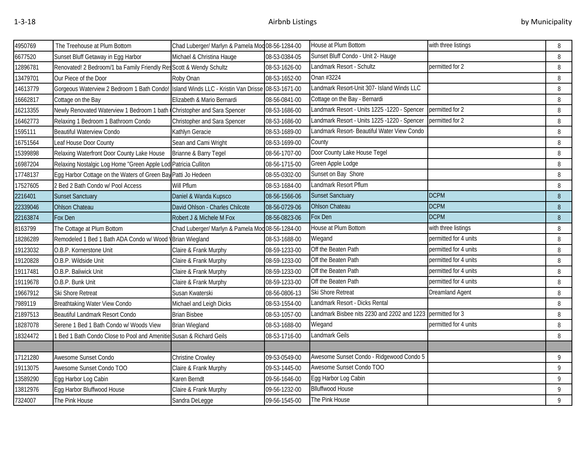| 4950769  | The Treehouse at Plum Bottom                                                                   | Chad Luberger/ Marlyn & Pamela Mod 08-56-1284-00 |               | House at Plum Bottom                                        | with three listings    | 8 |
|----------|------------------------------------------------------------------------------------------------|--------------------------------------------------|---------------|-------------------------------------------------------------|------------------------|---|
| 6677520  | Sunset Bluff Getaway in Egg Harbor                                                             | Michael & Christina Hauge                        | 08-53-0384-05 | Sunset Bluff Condo - Unit 2- Hauge                          |                        | 8 |
| 12896781 | Renovated! 2 Bedroom/1 ba Family Friendly ResScott & Wendy Schultz                             |                                                  | 08-53-1626-00 | Landmark Resort - Schultz                                   | permitted for 2        | 8 |
| 13479701 | Our Piece of the Door                                                                          | Roby Onan                                        | 08-53-1652-00 | Onan #3224                                                  |                        | 8 |
| 14613779 | Gorgeous Waterview 2 Bedroom 1 Bath Condo! Island Winds LLC - Kristin Van Drisse 08-53-1671-00 |                                                  |               | Landmark Resort-Unit 307- Island Winds LLC                  |                        | 8 |
| 16662817 | Cottage on the Bay                                                                             | Elizabeth & Mario Bernardi                       | 08-56-0841-00 | Cottage on the Bay - Bernardi                               |                        | 8 |
| 16213355 | Newly Renovated Waterview 1 Bedroom 1 bath Christopher and Sara Spencer                        |                                                  | 08-53-1686-00 | Landmark Resort - Units 1225 -1220 - Spencer                | permitted for 2        | 8 |
| 16462773 | Relaxing 1 Bedroom 1 Bathroom Condo                                                            | Christopher and Sara Spencer                     | 08-53-1686-00 | Landmark Resort - Units 1225 -1220 - Spencer                | permitted for 2        | 8 |
| 1595111  | <b>Beautiful Waterview Condo</b>                                                               | Kathlyn Geracie                                  | 08-53-1689-00 | Landmark Resort- Beautiful Water View Condo                 |                        | 8 |
| 16751564 | Leaf House Door County                                                                         | Sean and Cami Wright                             | 08-53-1699-00 | County                                                      |                        | 8 |
| 15399898 | Relaxing Waterfront Door County Lake House                                                     | Brianne & Barry Tegel                            | 08-56-1707-00 | Door County Lake House Tegel                                |                        | 8 |
| 16987204 | Relaxing Nostalgic Log Home "Green Apple Lod Patricia Culliton                                 |                                                  | 08-56-1715-00 | Green Apple Lodge                                           |                        | 8 |
| 17748137 | Egg Harbor Cottage on the Waters of Green Bay Patti Jo Hedeen                                  |                                                  | 08-55-0302-00 | Sunset on Bay Shore                                         |                        | 8 |
| 17527605 | 2 Bed 2 Bath Condo w/ Pool Access                                                              | Will Pflum                                       | 08-53-1684-00 | Landmark Resort Pflum                                       |                        | 8 |
| 2216401  | <b>Sunset Sanctuary</b>                                                                        | Daniel & Wanda Kupsco                            | 08-56-1566-06 | <b>Sunset Sanctuary</b>                                     | <b>DCPM</b>            | 8 |
| 22339046 | <b>Ohlson Chateau</b>                                                                          | David Ohlson - Charles Chilcote                  | 08-56-0729-06 | Ohlson Chateau                                              | <b>DCPM</b>            | 8 |
| 22163874 | Fox Den                                                                                        | Robert J & Michele M Fox                         | 08-56-0823-06 | Fox Den                                                     | <b>DCPM</b>            | 8 |
| 8163799  | The Cottage at Plum Bottom                                                                     | Chad Luberger/ Marlyn & Pamela Mod 08-56-1284-00 |               | House at Plum Bottom                                        | with three listings    | 8 |
| 18286289 | Remodeled 1 Bed 1 Bath ADA Condo w/ Wood                                                       | <b>\Brian Wiegland</b>                           | 08-53-1688-00 | Wiegand                                                     | permitted for 4 units  | 8 |
| 19123032 | O.B.P. Kornerstone Unit                                                                        | Claire & Frank Murphy                            | 08-59-1233-00 | Off the Beaten Path                                         | permitted for 4 units  | 8 |
| 19120828 | O.B.P. Wildside Unit                                                                           | Claire & Frank Murphy                            | 08-59-1233-00 | Off the Beaten Path                                         | permitted for 4 units  | 8 |
| 19117481 | O.B.P. Baliwick Unit                                                                           | Claire & Frank Murphy                            | 08-59-1233-00 | Off the Beaten Path                                         | permitted for 4 units  | 8 |
| 19119678 | O.B.P. Bunk Unit                                                                               | Claire & Frank Murphy                            | 08-59-1233-00 | Off the Beaten Path                                         | permitted for 4 units  | 8 |
| 19667912 | Ski Shore Retreat                                                                              | Susan Kwaterski                                  | 08-56-0806-13 | Ski Shore Retreat                                           | <b>Dreamland Agent</b> | 8 |
| 7989119  | Breathtaking Water View Condo                                                                  | Michael and Leigh Dicks                          | 08-53-1554-00 | Landmark Resort - Dicks Rental                              |                        | 8 |
| 21897513 | Beautiful Landmark Resort Condo                                                                | <b>Brian Bisbee</b>                              | 08-53-1057-00 | Landmark Bisbee nits 2230 and 2202 and 1223 permitted for 3 |                        | 8 |
| 18287078 | Serene 1 Bed 1 Bath Condo w/ Woods View                                                        | <b>Brian Wiegland</b>                            | 08-53-1688-00 | Wiegand                                                     | permitted for 4 units  | 8 |
| 18324472 | Bed 1 Bath Condo Close to Pool and Ameniti                                                     | Susan & Richard Geils                            | 08-53-1716-00 | Landmark Geils                                              |                        | 8 |
|          |                                                                                                |                                                  |               |                                                             |                        |   |
| 17121280 | Awesome Sunset Condo                                                                           | Christine Crowley                                | 09-53-0549-00 | Awesome Sunset Condo - Ridgewood Condo 5                    |                        | 9 |
| 19113075 | Awesome Sunset Condo TOO                                                                       | Claire & Frank Murphy                            | 09-53-1445-00 | Awesome Sunset Condo TOO                                    |                        | 9 |
| 13589290 | Egg Harbor Log Cabin                                                                           | Karen Berndt                                     | 09-56-1646-00 | Egg Harbor Log Cabin                                        |                        | 9 |
| 13812976 | Egg Harbor Bluffwood House                                                                     | Claire & Frank Murphy                            | 09-56-1232-00 | <b>Blluffwood House</b>                                     |                        | 9 |
| 7324007  | The Pink House                                                                                 | Sandra DeLegge                                   | 09-56-1545-00 | The Pink House                                              |                        | 9 |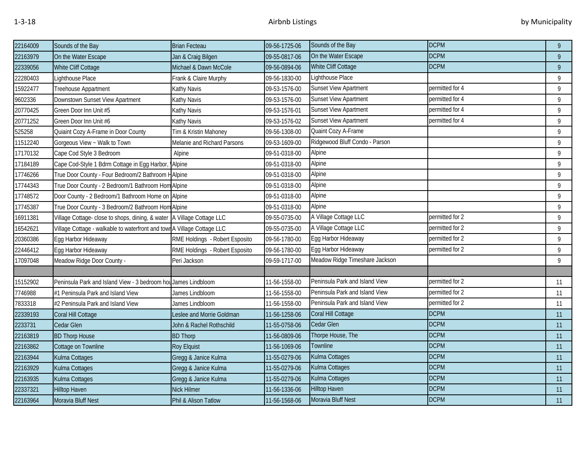| 22164009 | Sounds of the Bay                                                        | <b>Brian Fecteau</b>           | 09-56-1725-06 | Sounds of the Bay              | <b>DCPM</b>     | 9  |
|----------|--------------------------------------------------------------------------|--------------------------------|---------------|--------------------------------|-----------------|----|
| 22163979 | On the Water Escape                                                      | Jan & Craig Bilgen             | 09-55-0817-06 | On the Water Escape            | <b>DCPM</b>     | 9  |
| 22339056 | White Cliff Cottage                                                      | Michael & Dawn McCole          | 09-56-0894-06 | White Cliff Cottage            | <b>DCPM</b>     | 9  |
| 22280403 | Lighthouse Place                                                         | Frank & Claire Murphy          | 09-56-1830-00 | Lighthouse Place               |                 | 9  |
| 15922477 | Treehouse Appartment                                                     | Kathy Navis                    | 09-53-1576-00 | <b>Sunset View Apartment</b>   | permitted for 4 | 9  |
| 9602336  | Downstown Sunset View Apartment                                          | Kathy Navis                    | 09-53-1576-00 | Sunset View Apartment          | permitted for 4 | 9  |
| 20770425 | Green Door Inn Unit #5                                                   | Kathy Navis                    | 09-53-1576-01 | Sunset View Apartment          | permitted for 4 | 9  |
| 20771252 | Green Door Inn Unit #6                                                   | Kathy Navis                    | 09-53-1576-02 | Sunset View Apartment          | permitted for 4 | 9  |
| 525258   | Quiaint Cozy A-Frame in Door County                                      | Tim & Kristin Mahoney          | 09-56-1308-00 | Quaint Cozy A-Frame            |                 | 9  |
| 11512240 | Gorgeous View ~ Walk to Town                                             | Melanie and Richard Parsons    | 09-53-1609-00 | Ridgewood Bluff Condo - Parson |                 | 9  |
| 17170132 | Cape Cod Style 3 Bedroom                                                 | Alpine                         | 09-51-0318-00 | Alpine                         |                 | 9  |
| 17184189 | Cape Cod-Style 1 Bdrm Cottage in Egg Harbor                              | <b>Alpine</b>                  | 09-51-0318-00 | Alpine                         |                 | 9  |
| 17746266 | True Door County - Four Bedroom/2 Bathroom HAlpine                       |                                | 09-51-0318-00 | Alpine                         |                 | 9  |
| 17744343 | True Door County - 2 Bedroom/1 Bathroom Hom Alpine                       |                                | 09-51-0318-00 | Alpine                         |                 | 9  |
| 17748572 | Door County - 2 Bedroom/1 Bathroom Home on Alpine                        |                                | 09-51-0318-00 | Alpine                         |                 | 9  |
| 17745387 | True Door County - 3 Bedroom/2 Bathroom Hom Alpine                       |                                | 09-51-0318-00 | Alpine                         |                 | 9  |
| 16911381 | Village Cottage- close to shops, dining, & water   A Village Cottage LLC |                                | 09-55-0735-00 | A Village Cottage LLC          | permitted for 2 | 9  |
| 16542621 | Village Cottage - walkable to waterfront and town A Village Cottage LLC  |                                | 09-55-0735-00 | A Village Cottage LLC          | permitted for 2 | 9  |
| 20360386 | Egg Harbor Hideaway                                                      | RME Holdings - Robert Esposito | 09-56-1780-00 | Egg Harbor Hideaway            | permitted for 2 | 9  |
| 22446412 | Egg Harbor Hideaway                                                      | RME Holdings - Robert Esposito | 09-56-1780-00 | Egg Harbor Hideaway            | permitted for 2 | 9  |
| 17097048 | Meadow Ridge Door County -                                               | Peri Jackson                   | 09-59-1717-00 | Meadow Ridge Timeshare Jackson |                 | 9  |
|          |                                                                          |                                |               |                                |                 |    |
| 15152902 | Peninsula Park and Island View - 3 bedroom hou James Lindbloom           |                                | 11-56-1558-00 | Peninsula Park and Island View | permitted for 2 | 11 |
| 7746988  | #1 Peninsula Park and Island View                                        | James Lindbloom                | 11-56-1558-00 | Peninsula Park and Island View | permitted for 2 | 11 |
| 7833318  | #2 Peninsula Park and Island View                                        | James Lindbloom                | 11-56-1558-00 | Peninsula Park and Island View | permitted for 2 | 11 |
| 22339193 | Coral Hill Cottage                                                       | Leslee and Morrie Goldman      | 11-56-1258-06 | Coral Hill Cottage             | <b>DCPM</b>     | 11 |
| 2233731  | Cedar Glen                                                               | John & Rachel Rothschild       | 11-55-0758-06 | Cedar Glen                     | <b>DCPM</b>     | 11 |
| 22163819 | <b>BD Thorp House</b>                                                    | <b>BD Thorp</b>                | 11-56-0809-06 | Thorpe House, The              | <b>DCPM</b>     | 11 |
| 22163862 | Cottage on Townline                                                      | Roy Elquist                    | 11-56-1069-06 | <b>Townline</b>                | <b>DCPM</b>     | 11 |
| 22163944 | Kulma Cottages                                                           | Gregg & Janice Kulma           | 11-55-0279-06 | Kulma Cottages                 | <b>DCPM</b>     | 11 |
| 22163929 | Kulma Cottages                                                           | Gregg & Janice Kulma           | 11-55-0279-06 | Kulma Cottages                 | <b>DCPM</b>     | 11 |
| 22163935 | Kulma Cottages                                                           | Gregg & Janice Kulma           | 11-55-0279-06 | Kulma Cottages                 | <b>DCPM</b>     | 11 |
| 22337321 | <b>Hilltop Haven</b>                                                     | Nick Hilmer                    | 11-56-1336-06 | <b>Hilltop Haven</b>           | <b>DCPM</b>     | 11 |
| 22163964 | Moravia Bluff Nest                                                       | Phil & Alison Tatlow           | 11-56-1568-06 | Moravia Bluff Nest             | <b>DCPM</b>     | 11 |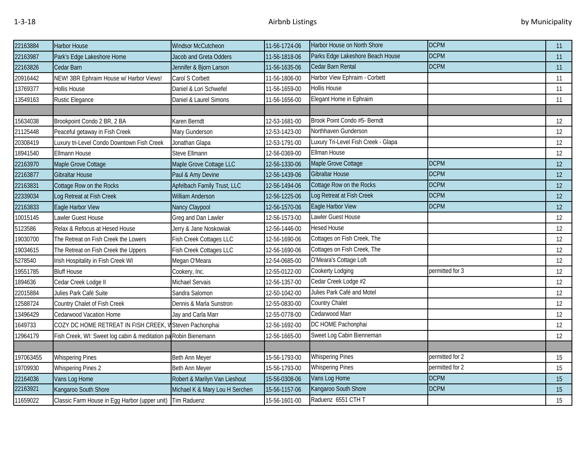| 22163884  | <b>Harbor House</b>                                             | <b>Windsor McCutcheon</b>      | 11-56-1724-06 | Harbor House on North Shore         | <b>DCPM</b>     | 11 |
|-----------|-----------------------------------------------------------------|--------------------------------|---------------|-------------------------------------|-----------------|----|
| 22163987  | Park's Edge Lakeshore Home                                      | Jacob and Greta Odders         | 11-56-1818-06 | Parks Edge Lakeshore Beach House    | <b>DCPM</b>     | 11 |
| 22163826  | Cedar Barn                                                      | Jennifer & Bjorn Larson        | 11-56-1635-06 | Cedar Barn Rental                   | <b>DCPM</b>     | 11 |
| 20916442  | NEW! 3BR Ephraim House w/ Harbor Views!                         | Carol S Corbett                | 11-56-1806-00 | Harbor View Ephraim - Corbett       |                 | 11 |
| 13769377  | Hollis House                                                    | Daniel & Lori Schwefel         | 11-56-1659-00 | <b>Hollis House</b>                 |                 | 11 |
| 13549163  | Rustic Elegance                                                 | Daniel & Laurel Simons         | 11-56-1656-00 | Elegant Home in Ephraim             |                 | 11 |
|           |                                                                 |                                |               |                                     |                 |    |
| 15634038  | Brookpoint Condo 2 BR, 2 BA                                     | Karen Berndt                   | 12-53-1681-00 | Brook Point Condo #5- Berndt        |                 | 12 |
| 21125448  | Peaceful getaway in Fish Creek                                  | Mary Gunderson                 | 12-53-1423-00 | Northhaven Gunderson                |                 | 12 |
| 20308419  | Luxury tri-Level Condo Downtown Fish Creek                      | Jonathan Glapa                 | 12-53-1791-00 | Luxury Tri-Level Fish Creek - Glapa |                 | 12 |
| 18941540  | Ellmann House                                                   | Steve Ellmann                  | 12-56-0369-00 | <b>Ellman House</b>                 |                 | 12 |
| 22163970  | Maple Grove Cottage                                             | Maple Grove Cottage LLC        | 12-56-1330-06 | Maple Grove Cottage                 | <b>DCPM</b>     | 12 |
| 22163877  | Gibraltar House                                                 | Paul & Amy Devine              | 12-56-1439-06 | <b>Gibraltar House</b>              | <b>DCPM</b>     | 12 |
| 22163831  | Cottage Row on the Rocks                                        | Apfelbach Family Trust, LLC    | 12-56-1494-06 | Cottage Row on the Rocks            | <b>DCPM</b>     | 12 |
| 22339034  | Log Retreat at Fish Creek                                       | <b>William Anderson</b>        | 12-56-1225-06 | Log Retreat at Fish Creek           | <b>DCPM</b>     | 12 |
| 22163833  | Eagle Harbor View                                               | Nancy Claypool                 | 12-56-1570-06 | Eagle Harbor View                   | <b>DCPM</b>     | 12 |
| 10015145  | Lawler Guest House                                              | Greg and Dan Lawler            | 12-56-1573-00 | Lawler Guest House                  |                 | 12 |
| 5123586   | Relax & Refocus at Hesed House                                  | Jerry & Jane Noskowiak         | 12-56-1446-00 | <b>Hesed House</b>                  |                 | 12 |
| 19030700  | The Retreat on Fish Creek the Lowers                            | Fish Creek Cottages LLC        | 12-56-1690-06 | Cottages on Fish Creek, The         |                 | 12 |
| 19034615  | The Retreat on Fish Creek the Uppers                            | Fish Creek Cottages LLC        | 12-56-1690-06 | Cottages on Fish Creek, The         |                 | 12 |
| 5278540   | Irish Hospitality in Fish Creek WI                              | Megan O'Meara                  | 12-54-0685-00 | O'Meara's Cottage Loft              |                 | 12 |
| 19551785  | <b>Bluff House</b>                                              | Cookery, Inc.                  | 12-55-0122-00 | Cookerty Lodging                    | permitted for 3 | 12 |
| 1894636   | Cedar Creek Lodge II                                            | Michael Servais                | 12-56-1357-00 | Cedar Creek Lodge #2                |                 | 12 |
| 22015884  | Julies Park Café Suite                                          | Sandra Salomon                 | 12-50-1042-00 | Julies Park Café and Motel          |                 | 12 |
| 12588724  | Country Chalet of Fish Creek                                    | Dennis & Marla Sunstron        | 12-55-0830-00 | Country Chalet                      |                 | 12 |
| 13496429  | Cedarwood Vacation Home                                         | Jay and Carla Marr             | 12-55-0778-00 | Cedarwood Marr                      |                 | 12 |
| 1649733   | COZY DC HOME RETREAT IN FISH CREEK,                             | V Steven Pachonphai            | 12-56-1692-00 | DC HOME Pachonphai                  |                 | 12 |
| 12964179  | Fish Creek, WI: Sweet log cabin & meditation pa Robin Bienemann |                                | 12-56-1665-00 | Sweet Log Cabin Bienneman           |                 | 12 |
|           |                                                                 |                                |               |                                     |                 |    |
| 197063455 | <b>Whispering Pines</b>                                         | Beth Ann Meyer                 | 15-56-1793-00 | <b>Whispering Pines</b>             | permitted for 2 | 15 |
| 19709930  | <b>Whispering Pines 2</b>                                       | Beth Ann Meyer                 | 15-56-1793-00 | <b>Whispering Pines</b>             | permitted for 2 | 15 |
| 22164036  | Vans Log Home                                                   | Robert & Marilyn Van Lieshout  | 15-56-0308-06 | Vans Log Home                       | <b>DCPM</b>     | 15 |
| 22163921  | Kangaroo South Shore                                            | Michael K & Mary Lou H Serchen | 15-56-1157-06 | Kangaroo South Shore                | <b>DCPM</b>     | 15 |
| 11659022  | Classic Farm House in Egg Harbor (upper unit) Tim Raduenz       |                                | 15-56-1601-00 | Raduenz 6551 CTH T                  |                 | 15 |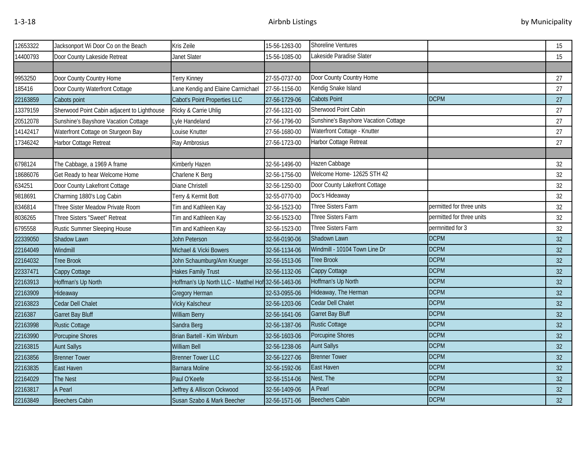| 12653322 | Jacksonport Wi Door Co on the Beach         | Kris Zeile                                         | 15-56-1263-00 | Shoreline Ventures                   |                           | 15 |
|----------|---------------------------------------------|----------------------------------------------------|---------------|--------------------------------------|---------------------------|----|
| 14400793 | Door County Lakeside Retreat                | <b>Janet Slater</b>                                | 15-56-1085-00 | Lakeside Paradise Slater             |                           | 15 |
|          |                                             |                                                    |               |                                      |                           |    |
| 9953250  | Door County Country Home                    | Terry Kinney                                       | 27-55-0737-00 | Door County Country Home             |                           | 27 |
| 185416   | Door County Waterfront Cottage              | Lane Kendig and Elaine Carmichael                  | 27-56-1156-00 | Kendig Snake Island                  |                           | 27 |
| 22163859 | Cabots point                                | Cabot's Point Properties LLC                       | 27-56-1729-06 | <b>Cabots Point</b>                  | <b>DCPM</b>               | 27 |
| 13379159 | Sherwood Point Cabin adjacent to Lighthouse | Ricky & Carrie Uhlig                               | 27-56-1321-00 | Sherwood Point Cabin                 |                           | 27 |
| 20512078 | Sunshine's Bayshore Vacation Cottage        | Lyle Handeland                                     | 27-56-1796-00 | Sunshine's Bayshore Vacation Cottage |                           | 27 |
| 14142417 | Waterfront Cottage on Sturgeon Bay          | Louise Knutter                                     | 27-56-1680-00 | Waterfront Cottage - Knutter         |                           | 27 |
| 17346242 | Harbor Cottage Retreat                      | Ray Ambrosius                                      | 27-56-1723-00 | Harbor Cottage Retreat               |                           | 27 |
|          |                                             |                                                    |               |                                      |                           |    |
| 6798124  | The Cabbage, a 1969 A frame                 | Kimberly Hazen                                     | 32-56-1496-00 | Hazen Cabbage                        |                           | 32 |
| 18686076 | Get Ready to hear Welcome Home              | Charlene K Berg                                    | 32-56-1756-00 | Welcome Home- 12625 STH 42           |                           | 32 |
| 634251   | Door County Lakefront Cottage               | Diane Christell                                    | 32-56-1250-00 | Door County Lakefront Cottage        |                           | 32 |
| 9818691  | Charming 1880's Log Cabin                   | Terry & Kermit Bott                                | 32-55-0770-00 | Doc's Hideaway                       |                           | 32 |
| 8346814  | Three Sister Meadow Private Room            | Tim and Kathleen Kay                               | 32-56-1523-00 | Three Sisters Farm                   | permitted for three units | 32 |
| 8036265  | Three Sisters "Sweet" Retreat               | Tim and Kathleen Kay                               | 32-56-1523-00 | Three Sisters Farm                   | permitted for three units | 32 |
| 6795558  | Rustic Summer Sleeping House                | Tim and Kathleen Kay                               | 32-56-1523-00 | Three Sisters Farm                   | permnitted for 3          | 32 |
| 22339050 | Shadow Lawn                                 | John Peterson                                      | 32-56-0190-06 | Shadown Lawn                         | <b>DCPM</b>               | 32 |
| 22164049 | Windmill                                    | Michael & Vicki Bowers                             | 32-56-1134-06 | Windmill - 10104 Town Line Dr        | <b>DCPM</b>               | 32 |
| 22164032 | <b>Tree Brook</b>                           | John Schaumburg/Ann Krueger                        | 32-56-1513-06 | <b>Tree Brook</b>                    | <b>DCPM</b>               | 32 |
| 22337471 | Cappy Cottage                               | Hakes Family Trust                                 | 32-56-1132-06 | Cappy Cottage                        | <b>DCPM</b>               | 32 |
| 22163913 | Hoffman's Up North                          | Hoffman's Up North LLC - Matthel Hof 32-56-1463-06 |               | Hoffman's Up North                   | <b>DCPM</b>               | 32 |
| 22163909 | Hideaway                                    | Gregory Herman                                     | 32-53-0955-06 | Hideaway, The Herman                 | <b>DCPM</b>               | 32 |
| 22163823 | Cedar Dell Chalet                           | <b>Vicky Kalscheur</b>                             | 32-56-1203-06 | Cedar Dell Chalet                    | <b>DCPM</b>               | 32 |
| 2216387  | Garret Bay Bluff                            | <b>William Berry</b>                               | 32-56-1641-06 | <b>Garret Bay Bluff</b>              | <b>DCPM</b>               | 32 |
| 22163998 | <b>Rustic Cottage</b>                       | Sandra Berg                                        | 32-56-1387-06 | <b>Rustic Cottage</b>                | <b>DCPM</b>               | 32 |
| 22163990 | Porcupine Shores                            | Brian Bartell - Kim Winburn                        | 32-56-1603-06 | Porcupine Shores                     | <b>DCPM</b>               | 32 |
| 22163815 | <b>Aunt Sallys</b>                          | <b>William Bell</b>                                | 32-56-1238-06 | <b>Aunt Sallys</b>                   | <b>DCPM</b>               | 32 |
| 22163856 | <b>Brenner Tower</b>                        | <b>Brenner Tower LLC</b>                           | 32-56-1227-06 | <b>Brenner Tower</b>                 | <b>DCPM</b>               | 32 |
| 22163835 | East Haven                                  | <b>Barnara Moline</b>                              | 32-56-1592-06 | East Haven                           | <b>DCPM</b>               | 32 |
| 22164029 | The Nest                                    | Paul O'Keefe                                       | 32-56-1514-06 | Nest, The                            | <b>DCPM</b>               | 32 |
| 22163817 | A Pearl                                     | Jeffrey & Alliscon Ockwood                         | 32-56-1409-06 | A Pearl                              | <b>DCPM</b>               | 32 |
| 22163849 | <b>Beechers Cabin</b>                       | Susan Szabo & Mark Beecher                         | 32-56-1571-06 | <b>Beechers Cabin</b>                | <b>DCPM</b>               | 32 |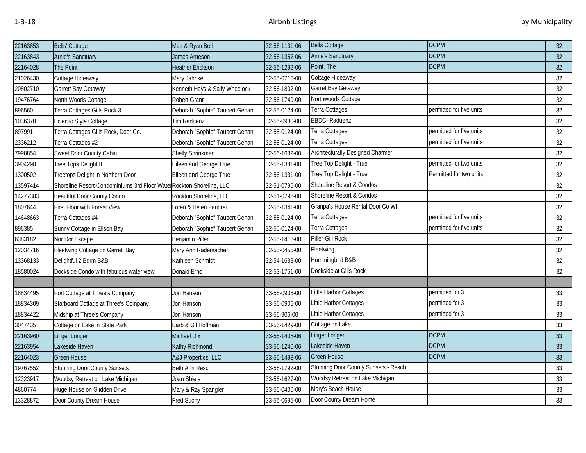| 22163853 | Bells' Cottage                                                      | Matt & Ryan Bell               | 32-56-1131-06 | <b>Bells Cottage</b>                    | <b>DCPM</b>              | 32 |
|----------|---------------------------------------------------------------------|--------------------------------|---------------|-----------------------------------------|--------------------------|----|
| 22163843 | <b>Arnie's Sanctuary</b>                                            | James Arneson                  | 32-56-1352-06 | Arnie's Sanctuary                       | <b>DCPM</b>              | 32 |
| 22164028 | The Point                                                           | <b>Heather Erickson</b>        | 32-56-1292-06 | Point, The                              | <b>DCPM</b>              | 32 |
| 21026430 | Cottage Hideaway                                                    | Mary Jahnke                    | 32-55-0710-00 | Cottage Hideaway                        |                          | 32 |
| 20802710 | Garrett Bay Getaway                                                 | Kenneth Hays & Sally Wheelock  | 32-56-1802-00 | Garret Bay Getaway                      |                          | 32 |
| 19476764 | North Woods Cottage                                                 | Robert Grant                   | 32-56-1749-00 | Northwoods Cottage                      |                          | 32 |
| 896560   | Terra Cottages Gills Rock 3                                         | Deborah "Sophie" Taubert Gehan | 32-55-0124-00 | Terra Cottages                          | permitted for five units | 32 |
| 1036370  | Eclectic Style Cottage                                              | Tim Raduenz                    | 32-56-0930-00 | EBDC-Raduenz                            |                          | 32 |
| 897991   | Terra Cottages Gills Rock, Door Co.                                 | Deborah "Sophie" Taubert Gehan | 32-55-0124-00 | Terra Cottages                          | permitted for five units | 32 |
| 2336212  | Terra Cottages #2                                                   | Deborah "Sophie" Taubert Gehan | 32-55-0124-00 | Terra Cottages                          | permitted for five units | 32 |
| 7998854  | Sweet Door County Cabin                                             | Shelly Sprinkman               | 32-56-1682-00 | <b>Architecturally Designed Charmer</b> |                          | 32 |
| 3904298  | Tree Tops Delight II                                                | Eileen and George True         | 32-56-1331-00 | Tree Top Delight - True                 | permitted for two units  | 32 |
| 1300502  | Treetops Delight in Northern Door                                   | Eileen and George True         | 32-56-1331-00 | Tree Top Delight - True                 | Permitted for two units  | 32 |
| 13597414 | Shoreline Resort-Condominiums 3rd Floor Wate Rockton Shoreline, LLC |                                | 32-51-0796-00 | Shoreline Resort & Condos               |                          | 32 |
| 14277383 | Beautiful Door County Condo                                         | Rockton Shoreline, LLC         | 32-51-0796-00 | Shoreline Resort & Condos               |                          | 32 |
| 1807644  | irst Floor with Forest View <sup>-</sup>                            | Loren & Helen Fandrei          | 32-56-1341-00 | Granpa's House Rental Door Co WI        |                          | 32 |
| 14648663 | Terra Cottages #4                                                   | Deborah "Sophie" Taubert Gehan | 32-55-0124-00 | Terra Cottages                          | permitted for five units | 32 |
| 896385   | Sunny Cottage in Ellson Bay                                         | Deborah "Sophie" Taubert Gehan | 32-55-0124-00 | Terra Cottages                          | permitted for five units | 32 |
| 6383182  | Nor Dor Escape                                                      | Benjamin Piller                | 32-56-1418-00 | Piller-Gill Rock                        |                          | 32 |
| 12034716 | Fleetwing Cottage on Garrett Bay                                    | Mary Ann Rademacher            | 32-55-0455-00 | Fleetwing                               |                          | 32 |
| 13368133 | Delightful 2 Bdrm B&B                                               | Kathleen Schmidt               | 32-54-1638-00 | Hummingbird B&B                         |                          | 32 |
| 18580024 | Dockside Condo with fabulous water view                             | Donald Erno                    | 32-53-1751-00 | Dockside at Gills Rock                  |                          | 32 |
|          |                                                                     |                                |               |                                         |                          |    |
| 18834495 | Port Cottage at Three's Company                                     | Jon Hanson                     | 33-56-0906-00 | Little Harbor Cottages                  | permitted for 3          | 33 |
| 18834309 | Starboard Cottage at Three's Company                                | Jon Hanson                     | 33-56-0906-00 | Little Harbor Cottages                  | permitted for 3          | 33 |
| 18834422 | Midship at Three's Company                                          | Jon Hanson                     | 33-56-906-00  | Little Harbor Cottages                  | permitted for 3          | 33 |
| 3047435  | Cottage on Lake in State Park                                       | Barb & Gil Hoffman             | 33-56-1429-00 | Cottage on Lake                         |                          | 33 |
| 22163960 | <b>Linger Longer</b>                                                | Michael Dix                    | 33-56-1408-06 | <b>Linger Longer</b>                    | <b>DCPM</b>              | 33 |
| 22163954 | Lakeside Haven                                                      | Kathy Richmond                 | 33-56-1240-06 | Lakeside Haven                          | <b>DCPM</b>              | 33 |
| 22164023 | <b>Green House</b>                                                  | A&J Properties, LLC            | 33-56-1493-06 | <b>Green House</b>                      | <b>DCPM</b>              | 33 |
| 19767552 | <b>Stunning Door County Sunsets</b>                                 | Beth Ann Resch                 | 33-56-1792-00 | Stunning Door County Sunsets - Resch    |                          | 33 |
| 12323917 | Woodsy Retreat on Lake Michigan                                     | Joan Shiels                    | 33-56-1627-00 | Woodsy Retreat on Lake Michigan         |                          | 33 |
| 4860774  | Huge House on Glidden Drive                                         | Mary & Ray Spangler            | 33-56-0400-00 | Mary's Beach House                      |                          | 33 |
| 13328872 | Door County Dream House                                             | <b>Fred Suchy</b>              | 33-56-0695-00 | Door County Dream Home                  |                          | 33 |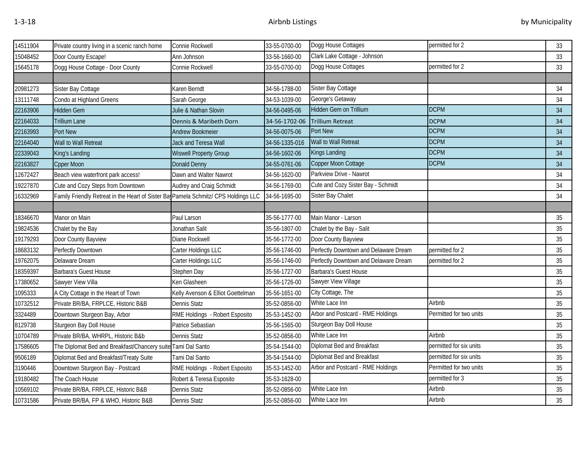| 14511904 | Private country living in a scenic ranch home                                       | Connie Rockwell                   | 33-55-0700-00  | Dogg House Cottages                    | permitted for 2         | 33     |
|----------|-------------------------------------------------------------------------------------|-----------------------------------|----------------|----------------------------------------|-------------------------|--------|
| 15048452 | Door County Escape!                                                                 | Ann Johnson                       | 33-56-1660-00  | Clark Lake Cottage - Johnson           |                         | 33     |
| 15645178 | Dogg House Cottage - Door County                                                    | Connie Rockwell                   | 33-55-0700-00  | Dogg House Cottages<br>permitted for 2 |                         | 33     |
|          |                                                                                     |                                   |                |                                        |                         |        |
| 20981273 | Sister Bay Cottage                                                                  | Karen Berndt                      | 34-56-1788-00  | Sister Bay Cottage                     |                         | 34     |
| 13111748 | Condo at Highland Greens                                                            | Sarah George                      | 34-53-1039-00  | George's Getaway                       |                         | 34     |
| 22163906 | Hidden Gem                                                                          | Julie & Nathan Slovin             | 34-56-0495-06  | Hidden Gem on Trillium                 | <b>DCPM</b>             | 34     |
| 22164033 | Trillium Lane                                                                       | Dennis & Maribeth Dorn            | 34-56-1702-06  | <b>Trillium Retreat</b>                | <b>DCPM</b>             | 34     |
| 22163993 | Port New                                                                            | <b>Andrew Bookmeier</b>           | 34-56-0075-06  | Port New                               | <b>DCPM</b>             | 34     |
| 22164040 | Wall to Wall Retreat                                                                | Jack and Teresa Wall              | 34-56-1335-016 | Wall to Wall Retreat                   | <b>DCPM</b>             | 34     |
| 22339043 | King's Landing                                                                      | <b>Wiswell Property Group</b>     | 34-56-1602-06  | Kings Landing                          | <b>DCPM</b>             | 34     |
| 22163827 | <b>Cpper Moon</b>                                                                   | Donald Denny                      | 34-55-0761-06  | Copper Moon Cottage                    | <b>DCPM</b>             | 34     |
| 12672427 | Beach view waterfront park access!                                                  | Dawn and Walter Nawrot            | 34-56-1620-00  | Parkview Drive - Nawrot                |                         | 34     |
| 19227870 | Cute and Cozy Steps from Downtown                                                   | Audrey and Craig Schmidt          | 34-56-1769-00  | Cute and Cozy Sister Bay - Schmidt     |                         | 34     |
| 16332969 | Family Friendly Retreat in the Heart of Sister Bav Pamela Schmitz/ CPS Holdings LLC |                                   | 34-56-1695-00  | Sister Bay Chalet                      |                         | 34     |
|          |                                                                                     |                                   |                |                                        |                         |        |
| 18346670 | Manor on Main                                                                       | Paul Larson                       | 35-56-1777-00  | Main Manor - Larson                    |                         | 35     |
| 19824536 | Chalet by the Bay                                                                   | Jonathan Salit                    | 35-56-1807-00  | Chalet by the Bay - Salit              |                         | 35     |
| 19179293 | Door County Bayview                                                                 | Diane Rockwell                    | 35-56-1772-00  | Door County Bayview                    |                         | 35     |
| 18683132 | Perfectly Downtown                                                                  | Carter Holdings LLC               | 35-56-1746-00  | Perfectly Downtown and Delaware Dream  | permitted for 2         | 35     |
| 19762075 | Delaware Dream                                                                      | Carter Holdings LLC               | 35-56-1746-00  | Perfectly Downtown and Delaware Dream  | permitted for 2         | 35     |
| 18359397 | Barbara's Guest House                                                               | Stephen Day                       | 35-56-1727-00  | Barbara's Guest House                  |                         | 35     |
| 17380652 | Sawyer View Villa                                                                   | Ken Glasheen                      | 35-56-1726-00  | Sawyer View Village                    |                         | 35     |
| 1095333  | A City Cottage in the Heart of Town                                                 | Kelly Avenson & Elliot Goettelman | 35-56-1651-00  | City Cottage, The                      |                         | 35     |
| 10732512 | Private BR/BA, FRPLCE, Historic B&B                                                 | Dennis Statz                      | 35-52-0856-00  | White Lace Inn                         | Airbnb                  | 35     |
| 3324489  | Downtown Sturgeon Bay, Arbor                                                        | RME Holdings - Robert Esposito    | 35-53-1452-00  | Arbor and Postcard - RME Holdings      | Permitted for two units | 35     |
| 8129738  | Sturgeon Bay Doll House                                                             | Patrice Sebastian                 | 35-56-1565-00  | Sturgeon Bay Doll House                |                         | $35\,$ |
| 10704789 | Private BR/BA, WHRPL, Historic B&b                                                  | <b>Dennis Statz</b>               | 35-52-0856-00  | White Lace Inn                         | Airbnb                  | 35     |
| 17586605 | The Diplomat Bed and Breakfast/Chancery suite Tami Dal Santo                        |                                   | 35-54-1544-00  | Diplomat Bed and Breakfast             | permitted for six units | 35     |
| 9506189  | Diplomat Bed and Breakfast/Treaty Suite                                             | Tami Dal Santo                    | 35-54-1544-00  | Diplomat Bed and Breakfast             | permitted for six units | 35     |
| 3190446  | Downtown Sturgeon Bay - Postcard                                                    | RME Holdings - Robert Esposito    | 35-53-1452-00  | Arbor and Postcard - RME Holdings      | Permitted for two units | 35     |
| 19180482 | The Coach House                                                                     | Robert & Teresa Esposito          | 35-53-1628-00  |                                        | permitted for 3         | 35     |
| 10569102 | Private BR/BA, FRPLCE, Historic B&B                                                 | <b>Dennis Statz</b>               | 35-52-0856-00  | White Lace Inn                         | Airbnb                  | 35     |
| 10731586 | Private BR/BA, FP & WHO, Historic B&B                                               | <b>Dennis Statz</b>               | 35-52-0856-00  | White Lace Inn                         | Airbnb                  | 35     |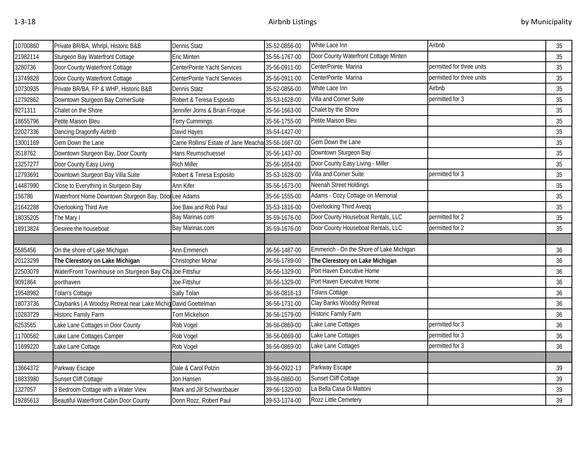| 10700860 | Private BR/BA, Whrlpl, Historic B&B                   | Dennis Statz                                        | 35-52-0856-00 | White Lace Inn                           | Airbnb                    | 35 |
|----------|-------------------------------------------------------|-----------------------------------------------------|---------------|------------------------------------------|---------------------------|----|
| 21982114 | Sturgeon Bay Waterfront Cottage                       | Eric Minten                                         | 35-56-1767-00 | Door County Waterfront Cottage Minten    |                           | 35 |
| 3280736  | Door County Waterfront Cottage                        | CenterPointe Yacht Services                         | 35-56-0911-00 | CenterPointe Marina                      | permitted for three units | 35 |
| 13749828 | Door County Waterfront Cottage                        | CenterPointe Yacht Services                         | 35-56-0911-00 | CenterPointe Marina                      | permitted for three units | 35 |
| 10730935 | Private BR/BA, FP & WHP, Historic B&B                 | Dennis Statz                                        | 35-52-0856-00 | White Lace Inn                           | Airbnb                    | 35 |
| 12792862 | Downtown Sturgeon Bay CornerSuite                     | Robert & Teresa Esposito                            | 35-53-1628-00 | Villa and Corner Suite                   | permitted for 3           | 35 |
| 9271311  | Chalet on the Shore                                   | Jennifer Jorns & Brian Frisque                      | 35-56-1663-00 | Chalet by the Shore                      |                           | 35 |
| 18655796 | Petite Maison Bleu                                    | Terry Cummings                                      | 35-56-1755-00 | Petite Maison Bleu                       |                           | 35 |
| 22027336 | Dancing Dragonfly Airbnb                              | David Hayes                                         | 35-54-1427-00 |                                          |                           | 35 |
| 13001169 | Gem Down the Lane                                     | Carrie Rollins/ Estate of Jane Meacha 35-56-1667-00 |               | Gem Down the Lane                        |                           | 35 |
| 3518762  | Downtown Sturgeon Bay, Door County                    | Hans Reumschuessel                                  | 35-56-1437-00 | Downtown Sturgeon Bay                    |                           | 35 |
| 13257277 | Door County Easy Living                               | <b>Rich Miller</b>                                  | 35-56-1654-00 | Door County Easy Living - Miller         |                           | 35 |
| 12793691 | Downtown Sturgeon Bay Villa Suite                     | Robert & Teresa Esposito                            | 35-53-1628-00 | Villa and Corner Suite                   | permitted for 3           | 35 |
| 14487990 | Close to Everything in Sturgeon Bay                   | Ann Kifer                                           | 35-56-1673-00 | Neenah Street Holdings                   |                           | 35 |
| 156786   | Waterfront Home Downtown Sturgeon Bay, Door Lee Adams |                                                     | 35-56-1555-00 | Adams - Cozy Cottage on Memorial         |                           | 35 |
| 21642288 | Overlooking Third Ave                                 | Joe Baw and Rob Paul                                | 35-53-1816-00 | Overlooking Third Aveqq                  |                           | 35 |
| 18035205 | The Mary I                                            | Bay Marinas.com                                     | 35-59-1676-00 | Door County Houseboat Rentals, LLC       | permitted for 2           | 35 |
| 18913824 | Desiree the houseboat                                 | Bay Marinas.com                                     | 35-59-1676-00 | Door County Houseboat Rentals, LLC       | permitted for 2           | 35 |
|          |                                                       |                                                     |               |                                          |                           |    |
| 5585456  | On the shore of Lake Michigan                         | Ann Emmerich                                        | 36-56-1487-00 | Emmerich - On the Shore of Lake Michigan |                           | 36 |
| 20123299 | The Clerestory on Lake Michigan                       | Christopher Mohar                                   | 36-56-1789-00 | The Clerestory on Lake Michigan          |                           | 36 |
| 22503079 | WaterFront Townhouse on Sturgeon Bay Cl               | Joe Fittshur                                        | 36-56-1329-00 | Port Haven Executive Home                |                           | 36 |
| 9091864  | porthaven                                             | Joe Fittshur                                        | 36-56-1329-00 | Port Haven Executive Home                |                           | 36 |
| 19548982 | Tolan's Cottage                                       | Sally Tolan                                         | 36-56-0816-13 | Tolans Cottage                           |                           | 36 |
| 18073736 | Claybanks   A Woodsy Retreat near Lake Michi          | id David Goettelman                                 | 36-56-1731-00 | Clay Banks Woodsy Retreat                |                           | 36 |
| 10283729 | <b>Historic Family Farm</b>                           | Tom Mickelson                                       | 36-56-1579-00 | <b>Historic Family Farm</b>              |                           | 36 |
| 6253565  | Lake Lane Cottages in Door County                     | Rob Vogel                                           | 36-56-0869-00 | Lake Lane Cottages                       | permitted for 3           | 36 |
| 11700582 | Lake Lane Cottages Camper                             | Rob Vogel                                           | 36-56-0869-00 | Lake Lane Cottages                       | permitted for 3           | 36 |
| 11699220 | Lake Lane Cottage                                     | Rob Vogel                                           | 36-56-0869-00 | Lake Lane Cottages                       | permitted for 3           | 36 |
|          |                                                       |                                                     |               |                                          |                           |    |
| 13664372 | Parkway Escape                                        | Dale & Carol Polzin                                 | 39-56-0922-13 | Parkway Escape                           |                           | 39 |
| 18833980 | Sunset Cliff Cottage                                  | Jon Hansen                                          | 39-56-0860-00 | Sunset Cliff Cottage                     |                           | 39 |
| 1327057  | 3 Bedroom Cottage with a Water View                   | Mark and Jill Schwarzbauer                          | 39-56-1320-00 | La Bella Casa Di Mattoni                 |                           | 39 |
| 19285613 | Beautiful Waterfront Cabin Door County                | Donn Rozz, Robert Paul                              | 39-53-1374-00 | Rozz Little Cemetery                     |                           | 39 |
|          |                                                       |                                                     |               |                                          |                           |    |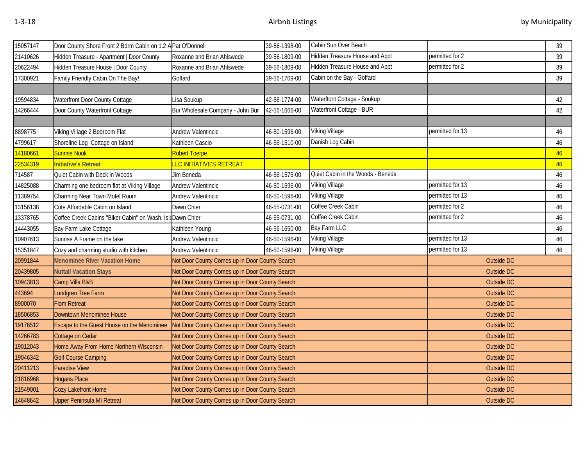| 15057147 | Door County Shore Front 2 Bdrm Cabin on 1.2 A Pat O'Donnell | 39-56-1398-00                                  |               | Cabin Sun Over Beach              |                  | 39 |
|----------|-------------------------------------------------------------|------------------------------------------------|---------------|-----------------------------------|------------------|----|
| 21410626 | Hidden Treasure - Apartment   Door County                   | Roxanne and Brian Ahlswede                     | 39-56-1809-00 | Hidden Treasure House and Appt    | permitted for 2  | 39 |
| 20622494 | Hidden Treasure House   Door County                         | Roxanne and Brian Ahlswede                     | 39-56-1809-00 | Hidden Treasure House and Appt    | permitted for 2  | 39 |
| 17300921 | Family Friendly Cabin On The Bay!                           | Goffard                                        | 39-56-1709-00 | Cabin on the Bay - Goffard        |                  | 39 |
|          |                                                             |                                                |               |                                   |                  |    |
| 19594834 | Waterfront Door County Cottage                              | Lisa Soukup                                    | 42-56-1774-00 | Waterftont Cottage - Soukup       |                  | 42 |
| 14266444 | Door County Waterfront Cottage                              | Bur Wholesale Company - John Bur               | 42-56-1666-00 | Waterfront Cottage - BUR          |                  | 42 |
|          |                                                             |                                                |               |                                   |                  |    |
| 8898775  | Viking Village 2 Bedroom Flat                               | Andrew Valentincic                             | 46-50-1596-00 | Viking Village                    | permitted for 13 | 46 |
| 4799617  | Shoreline Log Cottage on Island                             | Kathleen Cascio                                | 46-56-1510-00 | Danish Log Cabin                  |                  | 46 |
| 14180661 | Sunrise Nook                                                | Robert Toerpe                                  |               |                                   |                  | 46 |
| 22534319 | <b>Initiative's Retreat</b>                                 | LLC INITIATIVE'S RETREAT                       |               |                                   |                  | 46 |
| 714587   | Quiet Cabin with Deck in Woods                              | Jim Beneda                                     | 46-56-1575-00 | Quiet Cabin in the Woods - Beneda |                  | 46 |
| 14825088 | Charming one bedroom flat at Viking Village                 | <b>Andrew Valentincic</b>                      | 46-50-1596-00 | <b>Viking Village</b>             | permitted for 13 | 46 |
| 11389754 | Charming Near Town Motel Room                               | Andrew Valentincic                             | 46-50-1596-00 | Viking Village                    | permitted for 13 | 46 |
| 13156138 | Cute Affordable Cabin on Island                             | Dawn Chier                                     | 46-55-0731-00 | Coffee Creek Cabin                | permitted for 2  | 46 |
| 13378765 | Coffee Creek Cabins "Biker Cabin" on Wash. Is               | It Dawn Chier                                  | 46-55-0731-00 | Coffee Creek Cabin                | permitted for 2  | 46 |
| 14443055 | Bay Farm Lake Cottage                                       | Kathleen Young                                 | 46-56-1650-00 | Bay Farm LLC                      |                  | 46 |
| 10907613 | Sunrise A Frame on the lake                                 | Andrew Valentincic                             | 46-50-1596-00 | <b>Viking Village</b>             | permitted for 13 | 46 |
| 15351847 | Cozy and charming studio with kitchen.                      | Andrew Valentincic                             | 46-50-1596-00 | <b>Viking Village</b>             | permitted for 13 | 46 |
| 20991844 | Menominee River Vacation Home                               | Not Door County Comes up in Door County Search |               |                                   | Outside DC       |    |
| 20439805 | <b>Nuttall Vacation Stays</b>                               | Not Door County Comes up in Door County Search |               |                                   | Outside DC       |    |
| 10943813 | Camp Villa B&B                                              | Not Door County Comes up in Door County Search |               |                                   | Outside DC       |    |
| 443694   | Lundgren Tree Farm                                          | Not Door County Comes up in Door County Search |               |                                   | Outside DC       |    |
| 8900070  | <b>Flom Retreat</b>                                         | Not Door County Comes up in Door County Search |               |                                   | Outside DC       |    |
| 18506853 | Downtown Menominee House                                    | Not Door County Comes up in Door County Search |               |                                   | Outside DC       |    |
| 19176512 | Escape to the Guest House on the Menominee                  | Not Door County Comes up in Door County Search |               |                                   | Outside DC       |    |
| 14266783 | Cottage on Cedar                                            | Not Door County Comes up in Door County Search |               |                                   | Outside DC       |    |
| 19012043 | Home Away From Home Northern Wisconsin                      | Not Door County Comes up in Door County Search |               |                                   | Outside DC       |    |
| 19046342 | <b>Golf Course Camping</b>                                  | Not Door County Comes up in Door County Search |               |                                   | Outside DC       |    |
| 20411213 | Paradise View                                               | Not Door County Comes up in Door County Search |               |                                   | Outside DC       |    |
| 21816968 | <b>Hogans Place</b>                                         | Not Door County Comes up in Door County Search |               |                                   | Outside DC       |    |
| 21549001 | Cozy Lakefront Home                                         | Not Door County Comes up in Door County Search |               |                                   | Outside DC       |    |
| 14648642 | <b>Upper Peninsula MI Retreat</b>                           | Not Door County Comes up in Door County Search |               |                                   | Outside DC       |    |
|          |                                                             |                                                |               |                                   |                  |    |